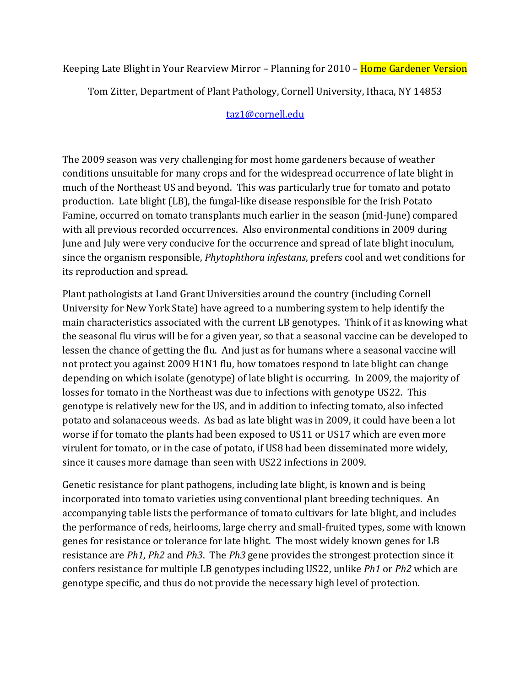Keeping Late Blight in Your Rearview Mirror – Planning for 2010 – Home Gardener Version

Tom Zitter, Department of Plant Pathology, Cornell University, Ithaca, NY 14853

## [taz1@cornell.edu](mailto:taz1@cornell.edu)

The 2009 season was very challenging for most home gardeners because of weather conditions unsuitable for many crops and for the widespread occurrence of late blight in much of the Northeast US and beyond. This was particularly true for tomato and potato production. Late blight (LB), the fungal-like disease responsible for the Irish Potato Famine, occurred on tomato transplants much earlier in the season (mid-June) compared with all previous recorded occurrences. Also environmental conditions in 2009 during June and July were very conducive for the occurrence and spread of late blight inoculum, since the organism responsible, *Phytophthora infestans*, prefers cool and wet conditions for its reproduction and spread.

Plant pathologists at Land Grant Universities around the country (including Cornell University for New York State) have agreed to a numbering system to help identify the main characteristics associated with the current LB genotypes. Think of it as knowing what the seasonal flu virus will be for a given year, so that a seasonal vaccine can be developed to lessen the chance of getting the flu. And just as for humans where a seasonal vaccine will not protect you against 2009 H1N1 flu, how tomatoes respond to late blight can change depending on which isolate (genotype) of late blight is occurring. In 2009, the majority of losses for tomato in the Northeast was due to infections with genotype US22. This genotype is relatively new for the US, and in addition to infecting tomato, also infected potato and solanaceous weeds. As bad as late blight was in 2009, it could have been a lot worse if for tomato the plants had been exposed to US11 or US17 which are even more virulent for tomato, or in the case of potato, if US8 had been disseminated more widely, since it causes more damage than seen with US22 infections in 2009.

Genetic resistance for plant pathogens, including late blight, is known and is being incorporated into tomato varieties using conventional plant breeding techniques. An accompanying table lists the performance of tomato cultivars for late blight, and includes the performance of reds, heirlooms, large cherry and small-fruited types, some with known genes for resistance or tolerance for late blight. The most widely known genes for LB resistance are *Ph1*, *Ph2* and *Ph3*. The *Ph3* gene provides the strongest protection since it confers resistance for multiple LB genotypes including US22, unlike *Ph1* or *Ph2* which are genotype specific, and thus do not provide the necessary high level of protection.